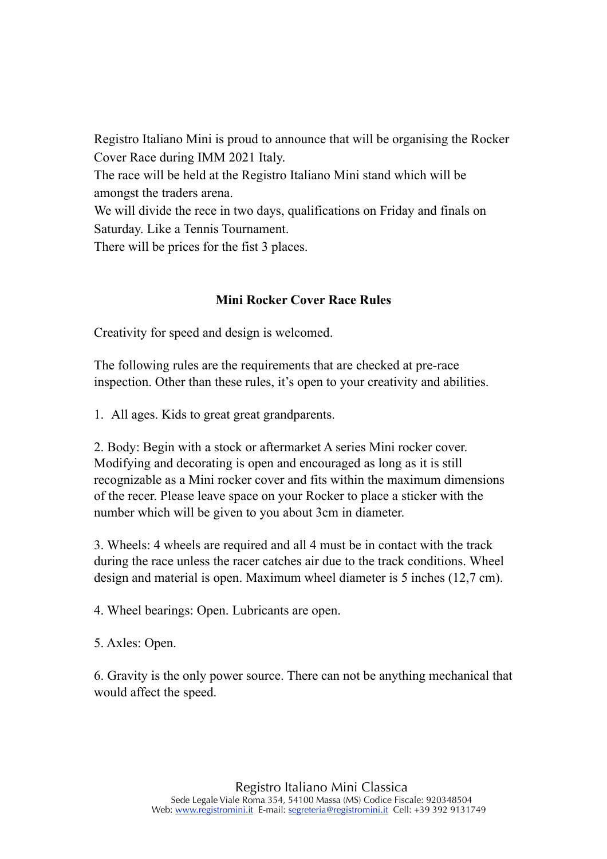Registro Italiano Mini is proud to announce that will be organising the Rocker Cover Race during IMM 2021 Italy.

The race will be held at the Registro Italiano Mini stand which will be amongst the traders arena.

We will divide the rece in two days, qualifications on Friday and finals on Saturday. Like a Tennis Tournament.

There will be prices for the fist 3 places.

## **Mini Rocker Cover Race Rules**

Creativity for speed and design is welcomed.

The following rules are the requirements that are checked at pre-race inspection. Other than these rules, it's open to your creativity and abilities.

1. All ages. Kids to great great grandparents.

2. Body: Begin with a stock or aftermarket A series Mini rocker cover. Modifying and decorating is open and encouraged as long as it is still recognizable as a Mini rocker cover and fits within the maximum dimensions of the recer. Please leave space on your Rocker to place a sticker with the number which will be given to you about 3cm in diameter.

3. Wheels: 4 wheels are required and all 4 must be in contact with the track during the race unless the racer catches air due to the track conditions. Wheel design and material is open. Maximum wheel diameter is 5 inches (12,7 cm).

4. Wheel bearings: Open. Lubricants are open.

5. Axles: Open.

6. Gravity is the only power source. There can not be anything mechanical that would affect the speed.